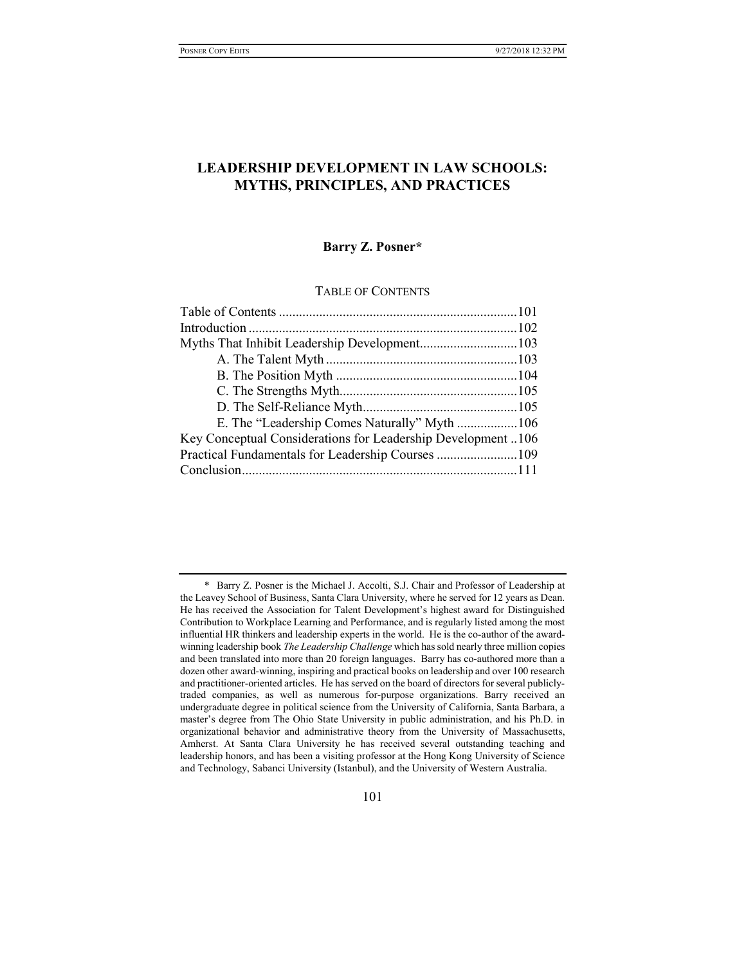# LEADERSHIP DEVELOPMENT IN LAW SCHOOLS: MYTHS, PRINCIPLES, AND PRACTICES

## Barry Z. Posner\*

# TABLE OF CONTENTS

| E. The "Leadership Comes Naturally" Myth 106                |  |
|-------------------------------------------------------------|--|
| Key Conceptual Considerations for Leadership Development106 |  |
| Practical Fundamentals for Leadership Courses 109           |  |
|                                                             |  |
|                                                             |  |

 <sup>\*</sup> Barry Z. Posner is the Michael J. Accolti, S.J. Chair and Professor of Leadership at the Leavey School of Business, Santa Clara University, where he served for 12 years as Dean. He has received the Association for Talent Development's highest award for Distinguished Contribution to Workplace Learning and Performance, and is regularly listed among the most influential HR thinkers and leadership experts in the world. He is the co-author of the awardwinning leadership book *The Leadership Challenge* which has sold nearly three million copies and been translated into more than 20 foreign languages. Barry has co-authored more than a dozen other award-winning, inspiring and practical books on leadership and over 100 research and practitioner-oriented articles. He has served on the board of directors for several publiclytraded companies, as well as numerous for-purpose organizations. Barry received an undergraduate degree in political science from the University of California, Santa Barbara, a master's degree from The Ohio State University in public administration, and his Ph.D. in organizational behavior and administrative theory from the University of Massachusetts, Amherst. At Santa Clara University he has received several outstanding teaching and leadership honors, and has been a visiting professor at the Hong Kong University of Science and Technology, Sabanci University (Istanbul), and the University of Western Australia.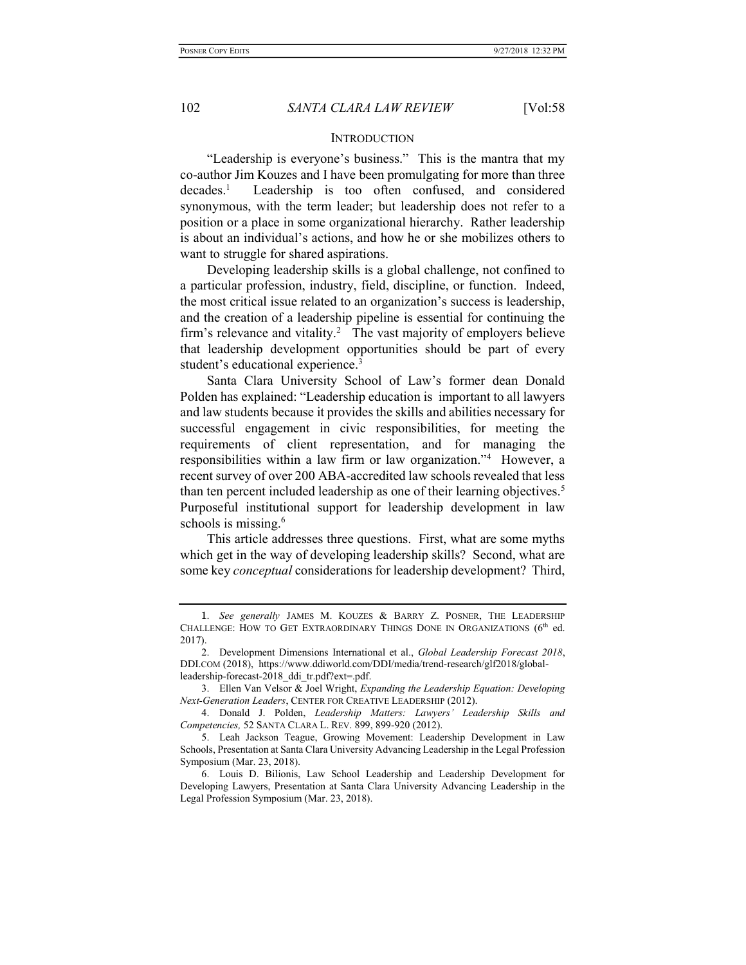#### INTRODUCTION

"Leadership is everyone's business." This is the mantra that my co-author Jim Kouzes and I have been promulgating for more than three  $decades<sup>1</sup>$  Leadership is too often confused, and considered synonymous, with the term leader; but leadership does not refer to a position or a place in some organizational hierarchy. Rather leadership is about an individual's actions, and how he or she mobilizes others to want to struggle for shared aspirations.

Developing leadership skills is a global challenge, not confined to a particular profession, industry, field, discipline, or function. Indeed, the most critical issue related to an organization's success is leadership, and the creation of a leadership pipeline is essential for continuing the firm's relevance and vitality.<sup>2</sup> The vast majority of employers believe that leadership development opportunities should be part of every student's educational experience.<sup>3</sup>

Santa Clara University School of Law's former dean Donald Polden has explained: "Leadership education is important to all lawyers and law students because it provides the skills and abilities necessary for successful engagement in civic responsibilities, for meeting the requirements of client representation, and for managing the responsibilities within a law firm or law organization."<sup>4</sup> However, a recent survey of over 200 ABA-accredited law schools revealed that less than ten percent included leadership as one of their learning objectives.<sup>5</sup> Purposeful institutional support for leadership development in law schools is missing.<sup>6</sup>

This article addresses three questions. First, what are some myths which get in the way of developing leadership skills? Second, what are some key conceptual considerations for leadership development? Third,

<sup>1.</sup> See generally JAMES M. KOUZES & BARRY Z. POSNER, THE LEADERSHIP CHALLENGE: HOW TO GET EXTRAORDINARY THINGS DONE IN ORGANIZATIONS  $(6<sup>th</sup>$  ed. 2017).

<sup>2.</sup> Development Dimensions International et al., Global Leadership Forecast 2018, DDI.COM (2018), https://www.ddiworld.com/DDI/media/trend-research/glf2018/globalleadership-forecast-2018\_ddi\_tr.pdf?ext=.pdf.

 <sup>3.</sup> Ellen Van Velsor & Joel Wright, Expanding the Leadership Equation: Developing Next-Generation Leaders, CENTER FOR CREATIVE LEADERSHIP (2012).

 <sup>4.</sup> Donald J. Polden, Leadership Matters: Lawyers' Leadership Skills and Competencies, 52 SANTA CLARA L. REV. 899, 899-920 (2012).

 <sup>5.</sup> Leah Jackson Teague, Growing Movement: Leadership Development in Law Schools, Presentation at Santa Clara University Advancing Leadership in the Legal Profession Symposium (Mar. 23, 2018).

 <sup>6.</sup> Louis D. Bilionis, Law School Leadership and Leadership Development for Developing Lawyers, Presentation at Santa Clara University Advancing Leadership in the Legal Profession Symposium (Mar. 23, 2018).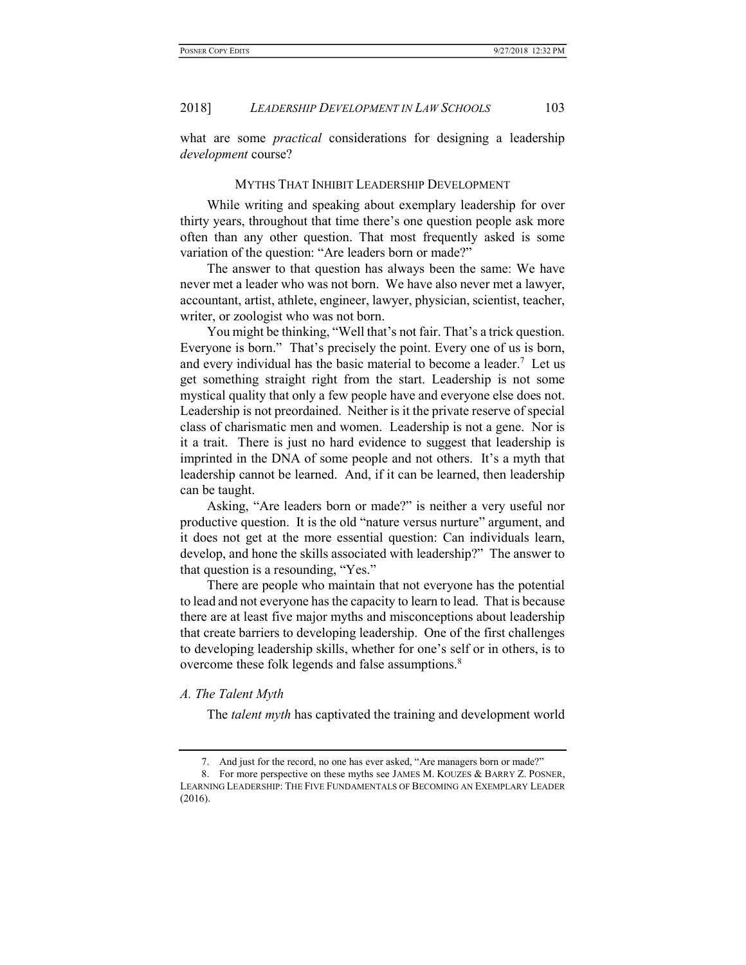what are some *practical* considerations for designing a leadership development course?

#### MYTHS THAT INHIBIT LEADERSHIP DEVELOPMENT

While writing and speaking about exemplary leadership for over thirty years, throughout that time there's one question people ask more often than any other question. That most frequently asked is some variation of the question: "Are leaders born or made?"

The answer to that question has always been the same: We have never met a leader who was not born. We have also never met a lawyer, accountant, artist, athlete, engineer, lawyer, physician, scientist, teacher, writer, or zoologist who was not born.

You might be thinking, "Well that's not fair. That's a trick question. Everyone is born." That's precisely the point. Every one of us is born, and every individual has the basic material to become a leader.<sup>7</sup> Let us get something straight right from the start. Leadership is not some mystical quality that only a few people have and everyone else does not. Leadership is not preordained. Neither is it the private reserve of special class of charismatic men and women. Leadership is not a gene. Nor is it a trait. There is just no hard evidence to suggest that leadership is imprinted in the DNA of some people and not others. It's a myth that leadership cannot be learned. And, if it can be learned, then leadership can be taught.

Asking, "Are leaders born or made?" is neither a very useful nor productive question. It is the old "nature versus nurture" argument, and it does not get at the more essential question: Can individuals learn, develop, and hone the skills associated with leadership?" The answer to that question is a resounding, "Yes."

There are people who maintain that not everyone has the potential to lead and not everyone has the capacity to learn to lead. That is because there are at least five major myths and misconceptions about leadership that create barriers to developing leadership. One of the first challenges to developing leadership skills, whether for one's self or in others, is to overcome these folk legends and false assumptions.<sup>8</sup>

#### A. The Talent Myth

The *talent myth* has captivated the training and development world

 <sup>7.</sup> And just for the record, no one has ever asked, "Are managers born or made?"

 <sup>8.</sup> For more perspective on these myths see JAMES M. KOUZES & BARRY Z. POSNER, LEARNING LEADERSHIP: THE FIVE FUNDAMENTALS OF BECOMING AN EXEMPLARY LEADER (2016).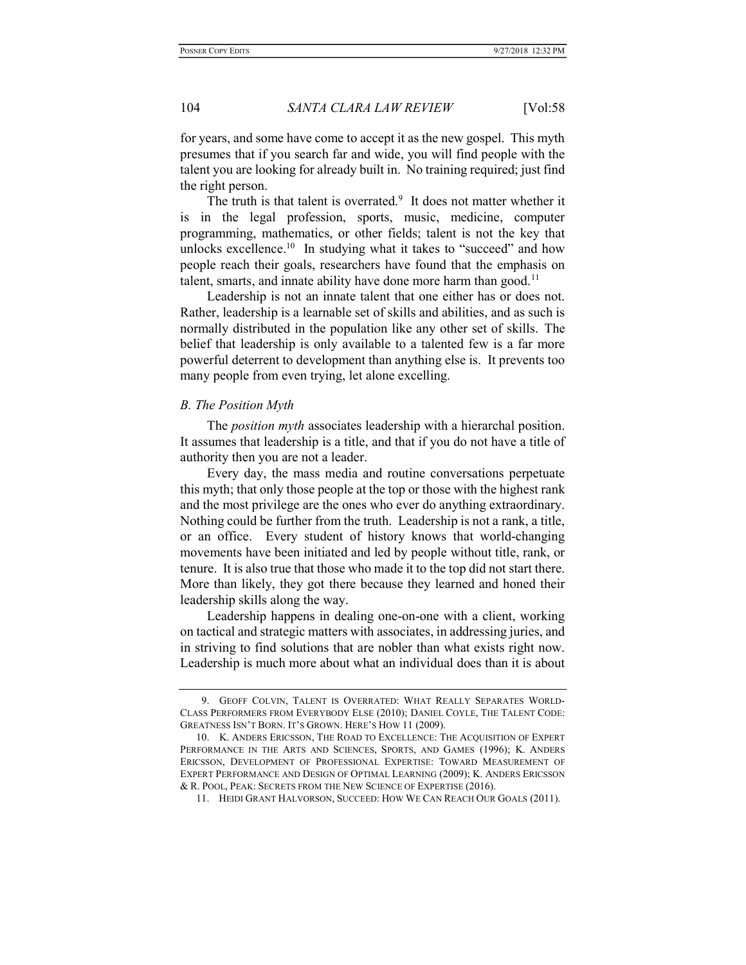for years, and some have come to accept it as the new gospel. This myth presumes that if you search far and wide, you will find people with the talent you are looking for already built in. No training required; just find the right person.

The truth is that talent is overrated. $9$  It does not matter whether it is in the legal profession, sports, music, medicine, computer programming, mathematics, or other fields; talent is not the key that unlocks excellence.<sup>10</sup> In studying what it takes to "succeed" and how people reach their goals, researchers have found that the emphasis on talent, smarts, and innate ability have done more harm than good.<sup>11</sup>

Leadership is not an innate talent that one either has or does not. Rather, leadership is a learnable set of skills and abilities, and as such is normally distributed in the population like any other set of skills. The belief that leadership is only available to a talented few is a far more powerful deterrent to development than anything else is. It prevents too many people from even trying, let alone excelling.

## B. The Position Myth

The *position myth* associates leadership with a hierarchal position. It assumes that leadership is a title, and that if you do not have a title of authority then you are not a leader.

Every day, the mass media and routine conversations perpetuate this myth; that only those people at the top or those with the highest rank and the most privilege are the ones who ever do anything extraordinary. Nothing could be further from the truth. Leadership is not a rank, a title, or an office. Every student of history knows that world-changing movements have been initiated and led by people without title, rank, or tenure. It is also true that those who made it to the top did not start there. More than likely, they got there because they learned and honed their leadership skills along the way.

Leadership happens in dealing one-on-one with a client, working on tactical and strategic matters with associates, in addressing juries, and in striving to find solutions that are nobler than what exists right now. Leadership is much more about what an individual does than it is about

 <sup>9.</sup> GEOFF COLVIN, TALENT IS OVERRATED: WHAT REALLY SEPARATES WORLD-CLASS PERFORMERS FROM EVERYBODY ELSE (2010); DANIEL COYLE, THE TALENT CODE: GREATNESS ISN'T BORN. IT'S GROWN. HERE'S HOW 11 (2009).

 <sup>10.</sup> K. ANDERS ERICSSON, THE ROAD TO EXCELLENCE: THE ACQUISITION OF EXPERT PERFORMANCE IN THE ARTS AND SCIENCES, SPORTS, AND GAMES (1996); K. ANDERS ERICSSON, DEVELOPMENT OF PROFESSIONAL EXPERTISE: TOWARD MEASUREMENT OF EXPERT PERFORMANCE AND DESIGN OF OPTIMAL LEARNING (2009); K. ANDERS ERICSSON & R. POOL, PEAK: SECRETS FROM THE NEW SCIENCE OF EXPERTISE (2016).

 <sup>11.</sup> HEIDI GRANT HALVORSON, SUCCEED: HOW WE CAN REACH OUR GOALS (2011).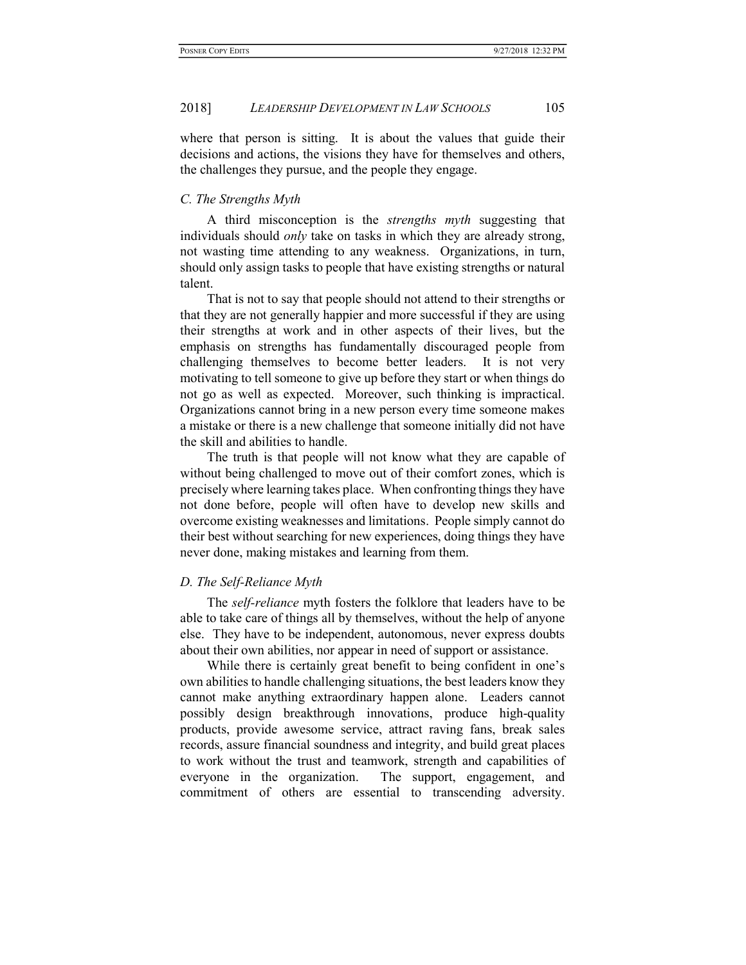where that person is sitting. It is about the values that guide their decisions and actions, the visions they have for themselves and others, the challenges they pursue, and the people they engage.

# C. The Strengths Myth

A third misconception is the strengths myth suggesting that individuals should only take on tasks in which they are already strong, not wasting time attending to any weakness. Organizations, in turn, should only assign tasks to people that have existing strengths or natural talent.

That is not to say that people should not attend to their strengths or that they are not generally happier and more successful if they are using their strengths at work and in other aspects of their lives, but the emphasis on strengths has fundamentally discouraged people from challenging themselves to become better leaders. It is not very motivating to tell someone to give up before they start or when things do not go as well as expected. Moreover, such thinking is impractical. Organizations cannot bring in a new person every time someone makes a mistake or there is a new challenge that someone initially did not have the skill and abilities to handle.

The truth is that people will not know what they are capable of without being challenged to move out of their comfort zones, which is precisely where learning takes place. When confronting things they have not done before, people will often have to develop new skills and overcome existing weaknesses and limitations. People simply cannot do their best without searching for new experiences, doing things they have never done, making mistakes and learning from them.

# D. The Self-Reliance Myth

The self-reliance myth fosters the folklore that leaders have to be able to take care of things all by themselves, without the help of anyone else. They have to be independent, autonomous, never express doubts about their own abilities, nor appear in need of support or assistance.

While there is certainly great benefit to being confident in one's own abilities to handle challenging situations, the best leaders know they cannot make anything extraordinary happen alone. Leaders cannot possibly design breakthrough innovations, produce high-quality products, provide awesome service, attract raving fans, break sales records, assure financial soundness and integrity, and build great places to work without the trust and teamwork, strength and capabilities of everyone in the organization. The support, engagement, and commitment of others are essential to transcending adversity.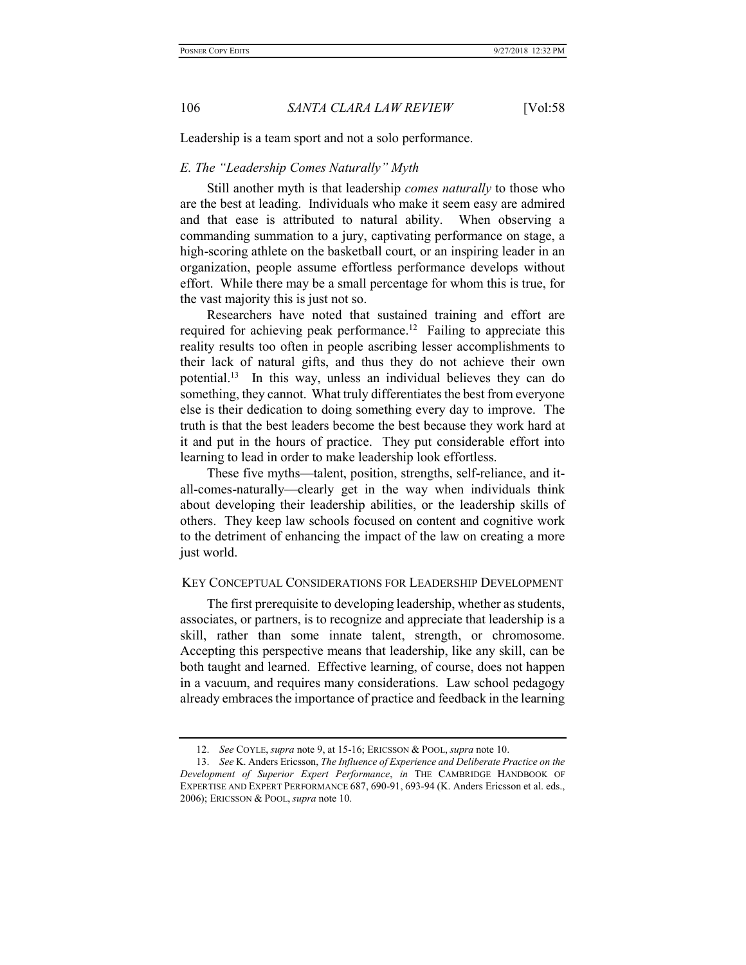Leadership is a team sport and not a solo performance.

# E. The "Leadership Comes Naturally" Myth

Still another myth is that leadership comes naturally to those who are the best at leading. Individuals who make it seem easy are admired and that ease is attributed to natural ability. When observing a commanding summation to a jury, captivating performance on stage, a high-scoring athlete on the basketball court, or an inspiring leader in an organization, people assume effortless performance develops without effort. While there may be a small percentage for whom this is true, for the vast majority this is just not so.

Researchers have noted that sustained training and effort are required for achieving peak performance.<sup>12</sup> Failing to appreciate this reality results too often in people ascribing lesser accomplishments to their lack of natural gifts, and thus they do not achieve their own potential.<sup>13</sup> In this way, unless an individual believes they can do something, they cannot. What truly differentiates the best from everyone else is their dedication to doing something every day to improve. The truth is that the best leaders become the best because they work hard at it and put in the hours of practice. They put considerable effort into learning to lead in order to make leadership look effortless.

These five myths—talent, position, strengths, self-reliance, and itall-comes-naturally—clearly get in the way when individuals think about developing their leadership abilities, or the leadership skills of others. They keep law schools focused on content and cognitive work to the detriment of enhancing the impact of the law on creating a more just world.

# KEY CONCEPTUAL CONSIDERATIONS FOR LEADERSHIP DEVELOPMENT

The first prerequisite to developing leadership, whether as students, associates, or partners, is to recognize and appreciate that leadership is a skill, rather than some innate talent, strength, or chromosome. Accepting this perspective means that leadership, like any skill, can be both taught and learned. Effective learning, of course, does not happen in a vacuum, and requires many considerations. Law school pedagogy already embraces the importance of practice and feedback in the learning

 <sup>12.</sup> See COYLE, supra note 9, at 15-16; ERICSSON & POOL, supra note 10.

<sup>13.</sup> See K. Anders Ericsson, The Influence of Experience and Deliberate Practice on the Development of Superior Expert Performance, in THE CAMBRIDGE HANDBOOK OF EXPERTISE AND EXPERT PERFORMANCE 687, 690-91, 693-94 (K. Anders Ericsson et al. eds., 2006); ERICSSON & POOL, supra note 10.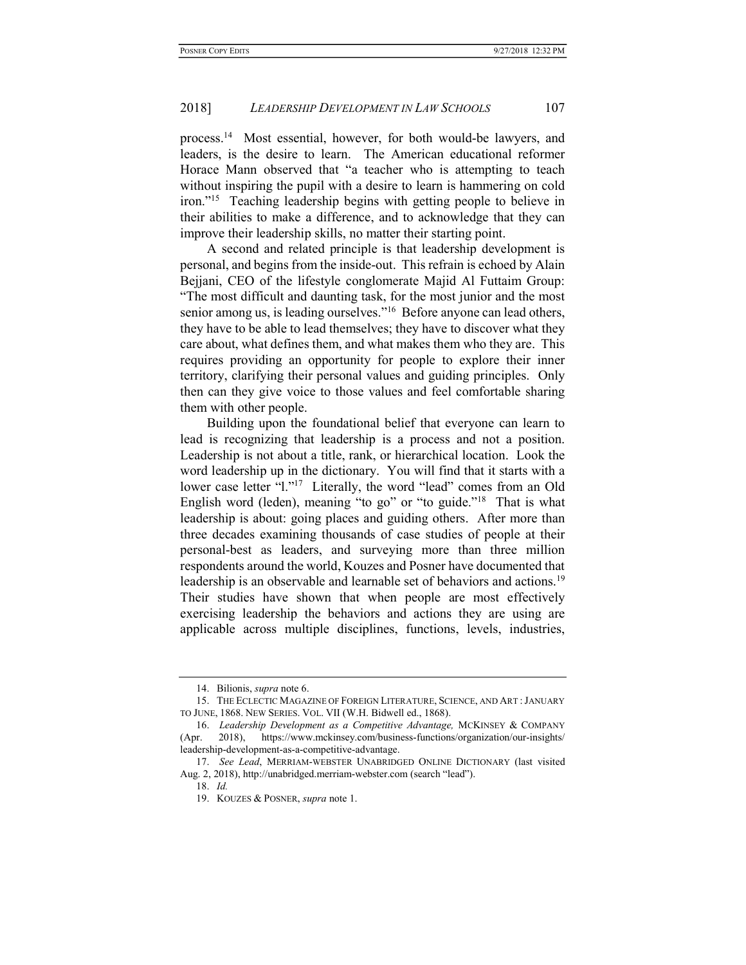process.<sup>14</sup> Most essential, however, for both would-be lawyers, and leaders, is the desire to learn. The American educational reformer Horace Mann observed that "a teacher who is attempting to teach without inspiring the pupil with a desire to learn is hammering on cold iron."<sup>15</sup> Teaching leadership begins with getting people to believe in their abilities to make a difference, and to acknowledge that they can improve their leadership skills, no matter their starting point.

A second and related principle is that leadership development is personal, and begins from the inside-out. This refrain is echoed by Alain Bejjani, CEO of the lifestyle conglomerate Majid Al Futtaim Group: "The most difficult and daunting task, for the most junior and the most senior among us, is leading ourselves."<sup>16</sup> Before anyone can lead others, they have to be able to lead themselves; they have to discover what they care about, what defines them, and what makes them who they are. This requires providing an opportunity for people to explore their inner territory, clarifying their personal values and guiding principles. Only then can they give voice to those values and feel comfortable sharing them with other people.

Building upon the foundational belief that everyone can learn to lead is recognizing that leadership is a process and not a position. Leadership is not about a title, rank, or hierarchical location. Look the word leadership up in the dictionary. You will find that it starts with a lower case letter "1."<sup>17</sup> Literally, the word "lead" comes from an Old English word (leden), meaning "to go" or "to guide."<sup>18</sup> That is what leadership is about: going places and guiding others. After more than three decades examining thousands of case studies of people at their personal-best as leaders, and surveying more than three million respondents around the world, Kouzes and Posner have documented that leadership is an observable and learnable set of behaviors and actions.<sup>19</sup> Their studies have shown that when people are most effectively exercising leadership the behaviors and actions they are using are applicable across multiple disciplines, functions, levels, industries,

 <sup>14.</sup> Bilionis, supra note 6.

 <sup>15.</sup> THE ECLECTIC MAGAZINE OF FOREIGN LITERATURE, SCIENCE, AND ART :JANUARY TO JUNE, 1868. NEW SERIES. VOL. VII (W.H. Bidwell ed., 1868).

<sup>16.</sup> Leadership Development as a Competitive Advantage, MCKINSEY & COMPANY (Apr. 2018), https://www.mckinsey.com/business-functions/organization/our-insights/ leadership-development-as-a-competitive-advantage.

 <sup>17.</sup> See Lead, MERRIAM-WEBSTER UNABRIDGED ONLINE DICTIONARY (last visited Aug. 2, 2018), http://unabridged.merriam-webster.com (search "lead").

 <sup>18.</sup> Id.

 <sup>19.</sup> KOUZES & POSNER, supra note 1.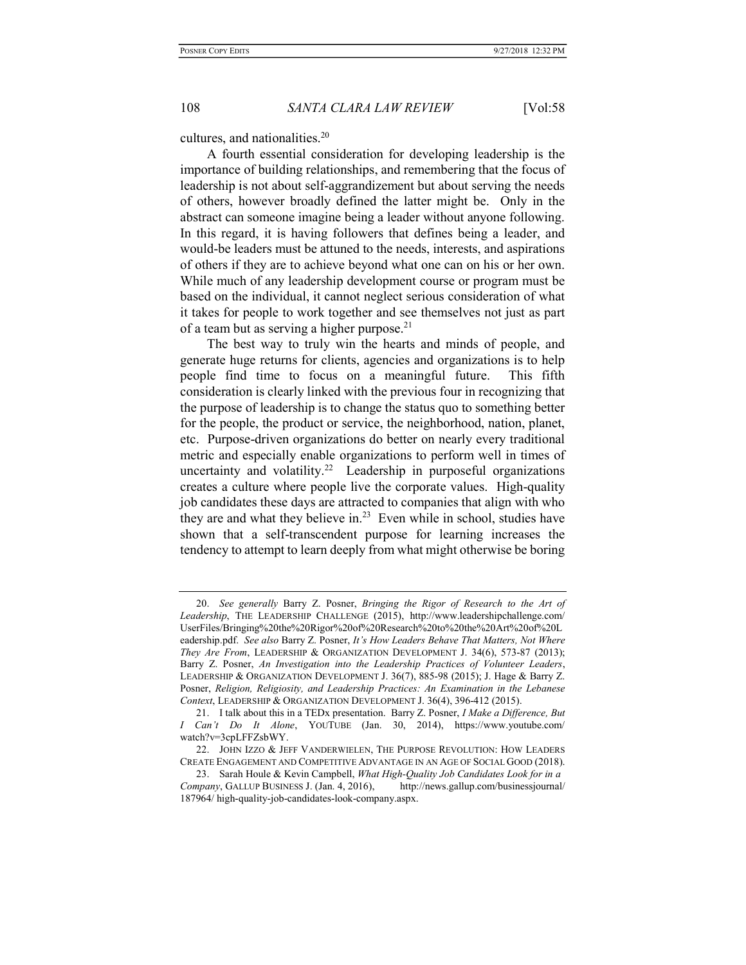cultures, and nationalities.<sup>20</sup>

A fourth essential consideration for developing leadership is the importance of building relationships, and remembering that the focus of leadership is not about self-aggrandizement but about serving the needs of others, however broadly defined the latter might be. Only in the abstract can someone imagine being a leader without anyone following. In this regard, it is having followers that defines being a leader, and would-be leaders must be attuned to the needs, interests, and aspirations of others if they are to achieve beyond what one can on his or her own. While much of any leadership development course or program must be based on the individual, it cannot neglect serious consideration of what it takes for people to work together and see themselves not just as part of a team but as serving a higher purpose. $21$ 

The best way to truly win the hearts and minds of people, and generate huge returns for clients, agencies and organizations is to help people find time to focus on a meaningful future. This fifth consideration is clearly linked with the previous four in recognizing that the purpose of leadership is to change the status quo to something better for the people, the product or service, the neighborhood, nation, planet, etc. Purpose-driven organizations do better on nearly every traditional metric and especially enable organizations to perform well in times of uncertainty and volatility.<sup>22</sup> Leadership in purposeful organizations creates a culture where people live the corporate values. High-quality job candidates these days are attracted to companies that align with who they are and what they believe in. $^{23}$  Even while in school, studies have shown that a self-transcendent purpose for learning increases the tendency to attempt to learn deeply from what might otherwise be boring

 <sup>20.</sup> See generally Barry Z. Posner, Bringing the Rigor of Research to the Art of Leadership, THE LEADERSHIP CHALLENGE (2015), http://www.leadershipchallenge.com/ UserFiles/Bringing%20the%20Rigor%20of%20Research%20to%20the%20Art%20of%20L eadership.pdf. See also Barry Z. Posner, It's How Leaders Behave That Matters, Not Where They Are From, LEADERSHIP & ORGANIZATION DEVELOPMENT J. 34(6), 573-87 (2013); Barry Z. Posner, An Investigation into the Leadership Practices of Volunteer Leaders, LEADERSHIP & ORGANIZATION DEVELOPMENT J. 36(7), 885-98 (2015); J. Hage & Barry Z. Posner, Religion, Religiosity, and Leadership Practices: An Examination in the Lebanese Context, LEADERSHIP & ORGANIZATION DEVELOPMENT J. 36(4), 396-412 (2015).

<sup>21.</sup> I talk about this in a TEDx presentation. Barry Z. Posner, *I Make a Difference*, *But* I Can't Do It Alone, YOUTUBE (Jan. 30, 2014), https://www.youtube.com/ watch?v=3cpLFFZsbWY.

<sup>22.</sup> JOHN IZZO & JEFF VANDERWIELEN, THE PURPOSE REVOLUTION: HOW LEADERS CREATE ENGAGEMENT AND COMPETITIVE ADVANTAGE IN AN AGE OF SOCIAL GOOD (2018).

<sup>23.</sup> Sarah Houle & Kevin Campbell, What High-Quality Job Candidates Look for in a Company, GALLUP BUSINESS J. (Jan. 4, 2016), http://news.gallup.com/businessjournal/ 187964/ high-quality-job-candidates-look-company.aspx.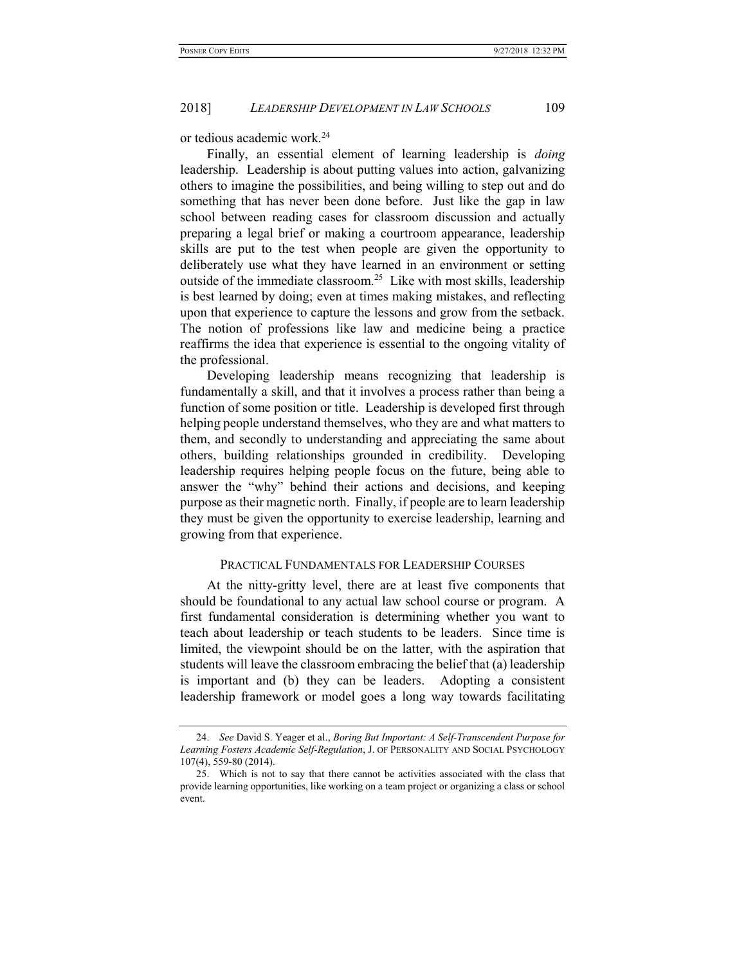or tedious academic work.<sup>24</sup>

Finally, an essential element of learning leadership is doing leadership. Leadership is about putting values into action, galvanizing others to imagine the possibilities, and being willing to step out and do something that has never been done before. Just like the gap in law school between reading cases for classroom discussion and actually preparing a legal brief or making a courtroom appearance, leadership skills are put to the test when people are given the opportunity to deliberately use what they have learned in an environment or setting outside of the immediate classroom.<sup>25</sup> Like with most skills, leadership is best learned by doing; even at times making mistakes, and reflecting upon that experience to capture the lessons and grow from the setback. The notion of professions like law and medicine being a practice reaffirms the idea that experience is essential to the ongoing vitality of the professional.

Developing leadership means recognizing that leadership is fundamentally a skill, and that it involves a process rather than being a function of some position or title. Leadership is developed first through helping people understand themselves, who they are and what matters to them, and secondly to understanding and appreciating the same about others, building relationships grounded in credibility. Developing leadership requires helping people focus on the future, being able to answer the "why" behind their actions and decisions, and keeping purpose as their magnetic north. Finally, if people are to learn leadership they must be given the opportunity to exercise leadership, learning and growing from that experience.

#### PRACTICAL FUNDAMENTALS FOR LEADERSHIP COURSES

At the nitty-gritty level, there are at least five components that should be foundational to any actual law school course or program. A first fundamental consideration is determining whether you want to teach about leadership or teach students to be leaders. Since time is limited, the viewpoint should be on the latter, with the aspiration that students will leave the classroom embracing the belief that (a) leadership is important and (b) they can be leaders. Adopting a consistent leadership framework or model goes a long way towards facilitating

 <sup>24.</sup> See David S. Yeager et al., Boring But Important: A Self-Transcendent Purpose for Learning Fosters Academic Self-Regulation, J. OF PERSONALITY AND SOCIAL PSYCHOLOGY 107(4), 559-80 (2014).

 <sup>25.</sup> Which is not to say that there cannot be activities associated with the class that provide learning opportunities, like working on a team project or organizing a class or school event.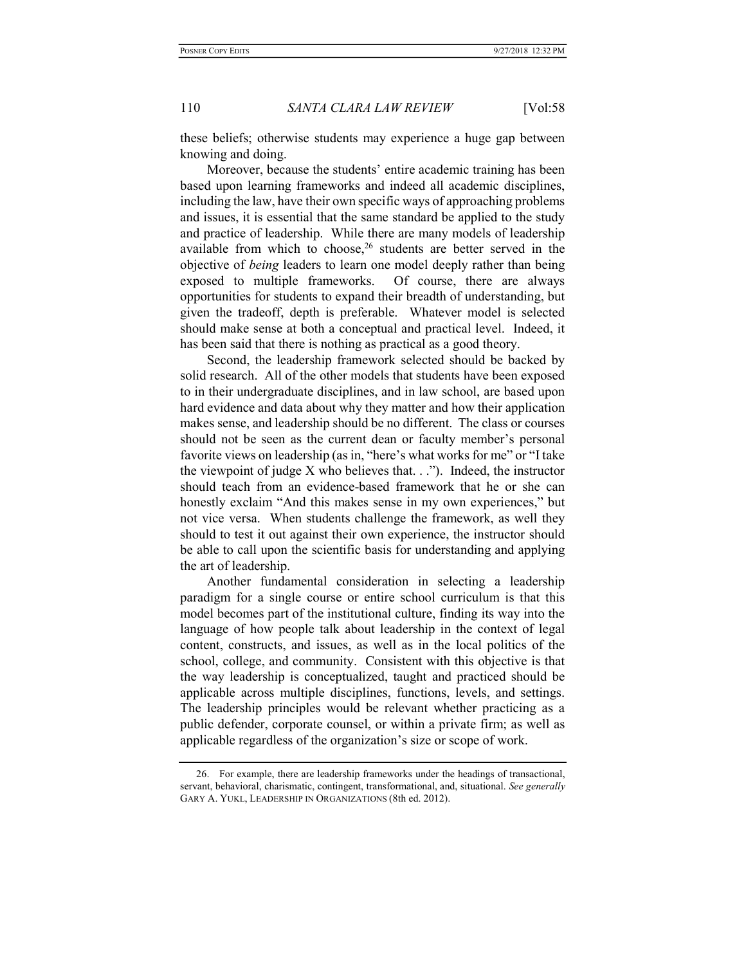these beliefs; otherwise students may experience a huge gap between knowing and doing.

Moreover, because the students' entire academic training has been based upon learning frameworks and indeed all academic disciplines, including the law, have their own specific ways of approaching problems and issues, it is essential that the same standard be applied to the study and practice of leadership. While there are many models of leadership available from which to choose,  $26$  students are better served in the objective of being leaders to learn one model deeply rather than being exposed to multiple frameworks. Of course, there are always opportunities for students to expand their breadth of understanding, but given the tradeoff, depth is preferable. Whatever model is selected should make sense at both a conceptual and practical level. Indeed, it has been said that there is nothing as practical as a good theory.

Second, the leadership framework selected should be backed by solid research. All of the other models that students have been exposed to in their undergraduate disciplines, and in law school, are based upon hard evidence and data about why they matter and how their application makes sense, and leadership should be no different. The class or courses should not be seen as the current dean or faculty member's personal favorite views on leadership (as in, "here's what works for me" or "I take the viewpoint of judge  $X$  who believes that.  $\ldots$ "). Indeed, the instructor should teach from an evidence-based framework that he or she can honestly exclaim "And this makes sense in my own experiences," but not vice versa. When students challenge the framework, as well they should to test it out against their own experience, the instructor should be able to call upon the scientific basis for understanding and applying the art of leadership.

Another fundamental consideration in selecting a leadership paradigm for a single course or entire school curriculum is that this model becomes part of the institutional culture, finding its way into the language of how people talk about leadership in the context of legal content, constructs, and issues, as well as in the local politics of the school, college, and community. Consistent with this objective is that the way leadership is conceptualized, taught and practiced should be applicable across multiple disciplines, functions, levels, and settings. The leadership principles would be relevant whether practicing as a public defender, corporate counsel, or within a private firm; as well as applicable regardless of the organization's size or scope of work.

 <sup>26.</sup> For example, there are leadership frameworks under the headings of transactional, servant, behavioral, charismatic, contingent, transformational, and, situational. See generally GARY A. YUKL, LEADERSHIP IN ORGANIZATIONS (8th ed. 2012).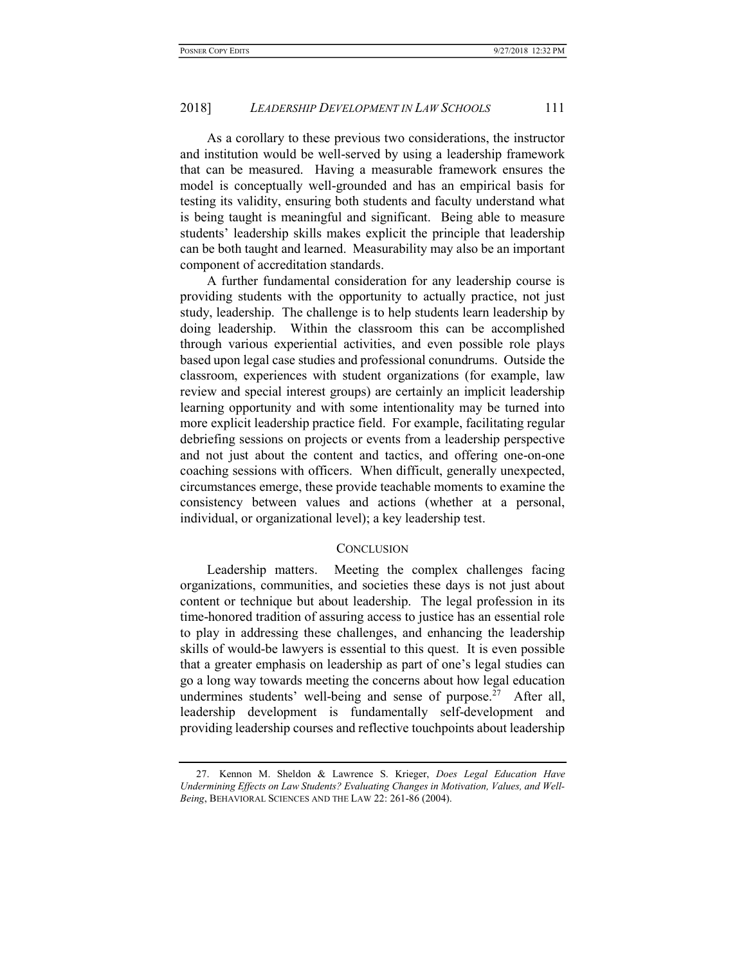As a corollary to these previous two considerations, the instructor and institution would be well-served by using a leadership framework that can be measured. Having a measurable framework ensures the model is conceptually well-grounded and has an empirical basis for testing its validity, ensuring both students and faculty understand what is being taught is meaningful and significant. Being able to measure students' leadership skills makes explicit the principle that leadership can be both taught and learned. Measurability may also be an important component of accreditation standards.

A further fundamental consideration for any leadership course is providing students with the opportunity to actually practice, not just study, leadership. The challenge is to help students learn leadership by doing leadership. Within the classroom this can be accomplished through various experiential activities, and even possible role plays based upon legal case studies and professional conundrums. Outside the classroom, experiences with student organizations (for example, law review and special interest groups) are certainly an implicit leadership learning opportunity and with some intentionality may be turned into more explicit leadership practice field. For example, facilitating regular debriefing sessions on projects or events from a leadership perspective and not just about the content and tactics, and offering one-on-one coaching sessions with officers. When difficult, generally unexpected, circumstances emerge, these provide teachable moments to examine the consistency between values and actions (whether at a personal, individual, or organizational level); a key leadership test.

## **CONCLUSION**

Leadership matters. Meeting the complex challenges facing organizations, communities, and societies these days is not just about content or technique but about leadership. The legal profession in its time-honored tradition of assuring access to justice has an essential role to play in addressing these challenges, and enhancing the leadership skills of would-be lawyers is essential to this quest. It is even possible that a greater emphasis on leadership as part of one's legal studies can go a long way towards meeting the concerns about how legal education undermines students' well-being and sense of purpose.<sup>27</sup> After all, leadership development is fundamentally self-development and providing leadership courses and reflective touchpoints about leadership

 <sup>27.</sup> Kennon M. Sheldon & Lawrence S. Krieger, Does Legal Education Have Undermining Effects on Law Students? Evaluating Changes in Motivation, Values, and Well-Being, BEHAVIORAL SCIENCES AND THE LAW 22: 261-86 (2004).